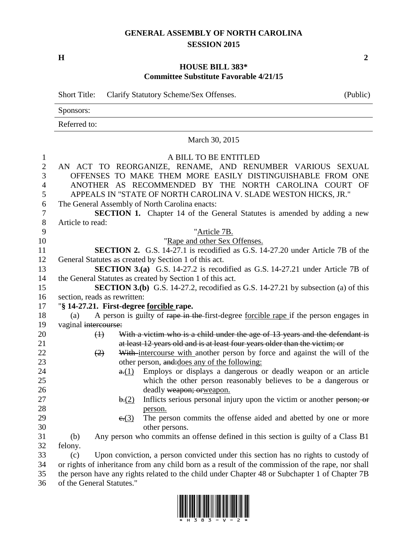## **GENERAL ASSEMBLY OF NORTH CAROLINA SESSION 2015**

**H 2**

## **HOUSE BILL 383\* Committee Substitute Favorable 4/21/15**

Short Title: Clarify Statutory Scheme/Sex Offenses. (Public)

|                          | Sponsors:                 |                   |                                                                                                                                                           |
|--------------------------|---------------------------|-------------------|-----------------------------------------------------------------------------------------------------------------------------------------------------------|
|                          | Referred to:              |                   |                                                                                                                                                           |
|                          |                           |                   | March 30, 2015                                                                                                                                            |
| 1<br>$\overline{2}$<br>3 |                           |                   | A BILL TO BE ENTITLED<br>AN ACT TO REORGANIZE, RENAME, AND RENUMBER VARIOUS SEXUAL<br>OFFENSES TO MAKE THEM MORE EASILY DISTINGUISHABLE FROM ONE          |
| 4<br>5                   |                           |                   | ANOTHER AS RECOMMENDED BY THE NORTH CAROLINA COURT OF<br>APPEALS IN "STATE OF NORTH CAROLINA V. SLADE WESTON HICKS, JR."                                  |
| 6                        |                           |                   | The General Assembly of North Carolina enacts:                                                                                                            |
| 7                        |                           |                   | SECTION 1. Chapter 14 of the General Statutes is amended by adding a new                                                                                  |
| $8\,$                    | Article to read:          |                   |                                                                                                                                                           |
| 9                        |                           |                   | "Article 7B.                                                                                                                                              |
| 10                       |                           |                   | "Rape and other Sex Offenses.                                                                                                                             |
| 11                       |                           |                   | SECTION 2. G.S. 14-27.1 is recodified as G.S. 14-27.20 under Article 7B of the                                                                            |
| 12                       |                           |                   | General Statutes as created by Section 1 of this act.                                                                                                     |
| 13                       |                           |                   | <b>SECTION 3.(a)</b> G.S. 14-27.2 is recodified as G.S. 14-27.21 under Article 7B of                                                                      |
| 14                       |                           |                   | the General Statutes as created by Section 1 of this act.                                                                                                 |
| 15                       |                           |                   | <b>SECTION 3.(b)</b> G.S. 14-27.2, recodified as G.S. 14-27.21 by subsection (a) of this                                                                  |
| 16                       |                           |                   | section, reads as rewritten:                                                                                                                              |
| 17                       |                           |                   | "§ 14-27.21. First-degree forcible rape.                                                                                                                  |
| 18                       | (a)                       |                   | A person is guilty of rape in the first-degree forcible rape if the person engages in                                                                     |
| 19                       | vaginal intercourse:      |                   |                                                                                                                                                           |
| 20<br>21                 |                           | $\leftrightarrow$ | With a victim who is a child under the age of 13 years and the defendant is<br>at least 12 years old and is at least four years older than the victim; or |
| 22<br>23                 |                           | (2)               | With intercourse with another person by force and against the will of the<br>other person, and: does any of the following:                                |
| 24                       |                           |                   | Employs or displays a dangerous or deadly weapon or an article<br>a(1)                                                                                    |
| 25                       |                           |                   | which the other person reasonably believes to be a dangerous or                                                                                           |
| 26                       |                           |                   | deadly weapon; orweapon.                                                                                                                                  |
| 27                       |                           |                   | Inflicts serious personal injury upon the victim or another person; or<br>$\mathbf{b}$ .(2)                                                               |
| 28                       |                           |                   | person.                                                                                                                                                   |
| 29                       |                           |                   | The person commits the offense aided and abetted by one or more<br>e(3)                                                                                   |
| 30                       |                           |                   | other persons.                                                                                                                                            |
| 31                       | (b)                       |                   | Any person who commits an offense defined in this section is guilty of a Class B1                                                                         |
| 32                       | felony.                   |                   |                                                                                                                                                           |
| 33                       | (c)                       |                   | Upon conviction, a person convicted under this section has no rights to custody of                                                                        |
| 34                       |                           |                   | or rights of inheritance from any child born as a result of the commission of the rape, nor shall                                                         |
| 35                       |                           |                   | the person have any rights related to the child under Chapter 48 or Subchapter 1 of Chapter 7B                                                            |
| 36                       | of the General Statutes." |                   |                                                                                                                                                           |

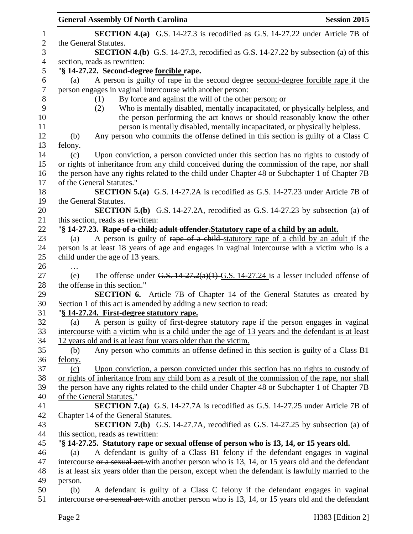|                | <b>General Assembly Of North Carolina</b><br><b>Session 2015</b>                                               |  |
|----------------|----------------------------------------------------------------------------------------------------------------|--|
| $\mathbf{1}$   | <b>SECTION 4.(a)</b> G.S. 14-27.3 is recodified as G.S. 14-27.22 under Article 7B of                           |  |
| $\mathbf{2}$   | the General Statutes.                                                                                          |  |
| 3              | <b>SECTION 4.(b)</b> G.S. 14-27.3, recodified as G.S. 14-27.22 by subsection (a) of this                       |  |
| $\overline{4}$ | section, reads as rewritten:                                                                                   |  |
| 5              | "§ 14-27.22. Second-degree forcible rape.                                                                      |  |
| 6              | A person is guilty of rape in the second degree-second-degree forcible rape if the<br>(a)                      |  |
| $\tau$         | person engages in vaginal intercourse with another person:                                                     |  |
| 8              | By force and against the will of the other person; or<br>(1)                                                   |  |
| 9              | Who is mentally disabled, mentally incapacitated, or physically helpless, and<br>(2)                           |  |
| 10             | the person performing the act knows or should reasonably know the other                                        |  |
| 11             | person is mentally disabled, mentally incapacitated, or physically helpless.                                   |  |
| 12             | Any person who commits the offense defined in this section is guilty of a Class C<br>(b)                       |  |
| 13             | felony.                                                                                                        |  |
| 14             | Upon conviction, a person convicted under this section has no rights to custody of<br>(c)                      |  |
| 15             | or rights of inheritance from any child conceived during the commission of the rape, nor shall                 |  |
| 16             | the person have any rights related to the child under Chapter 48 or Subchapter 1 of Chapter 7B                 |  |
| 17<br>18       | of the General Statutes."                                                                                      |  |
| 19             | <b>SECTION 5.(a)</b> G.S. 14-27.2A is recodified as G.S. 14-27.23 under Article 7B of<br>the General Statutes. |  |
| 20             | <b>SECTION 5.(b)</b> G.S. 14-27.2A, recodified as G.S. 14-27.23 by subsection (a) of                           |  |
| 21             | this section, reads as rewritten:                                                                              |  |
| 22             | "§ 14-27.23. Rape of a child; adult offender. Statutory rape of a child by an adult.                           |  |
| 23             | A person is guilty of rape of a child-statutory rape of a child by an adult if the<br>(a)                      |  |
| 24             | person is at least 18 years of age and engages in vaginal intercourse with a victim who is a                   |  |
| 25             | child under the age of 13 years.                                                                               |  |
| 26             | .                                                                                                              |  |
| 27             | The offense under G.S. $14-27.2(a)(1)$ G.S. $14-27.24$ is a lesser included offense of<br>(e)                  |  |
| 28             | the offense in this section."                                                                                  |  |
| 29             | SECTION 6. Article 7B of Chapter 14 of the General Statutes as created by                                      |  |
| 30             | Section 1 of this act is amended by adding a new section to read:                                              |  |
| 31             | "§ 14-27.24. First-degree statutory rape.                                                                      |  |
| 32             | A person is guilty of first-degree statutory rape if the person engages in vaginal<br>(a)                      |  |
| 33             | intercourse with a victim who is a child under the age of 13 years and the defendant is at least               |  |
| 34<br>35       | 12 years old and is at least four years older than the victim.                                                 |  |
| 36             | Any person who commits an offense defined in this section is guilty of a Class B1<br>(b)<br>felony.            |  |
| 37             | Upon conviction, a person convicted under this section has no rights to custody of<br>(c)                      |  |
| 38             | or rights of inheritance from any child born as a result of the commission of the rape, nor shall              |  |
| 39             | the person have any rights related to the child under Chapter 48 or Subchapter 1 of Chapter 7B                 |  |
| 40             | of the General Statutes."                                                                                      |  |
| 41             | <b>SECTION 7.(a)</b> G.S. 14-27.7A is recodified as G.S. 14-27.25 under Article 7B of                          |  |
| 42             | Chapter 14 of the General Statutes.                                                                            |  |
| 43             | <b>SECTION 7.(b)</b> G.S. 14-27.7A, recodified as G.S. 14-27.25 by subsection (a) of                           |  |
| 44             | this section, reads as rewritten:                                                                              |  |
| 45             | "\\$ 14-27.25. Statutory rape or sexual offense of person who is 13, 14, or 15 years old.                      |  |
| 46             | A defendant is guilty of a Class B1 felony if the defendant engages in vaginal<br>(a)                          |  |
| 47             | intercourse or a sexual act-with another person who is 13, 14, or 15 years old and the defendant               |  |
| 48             | is at least six years older than the person, except when the defendant is lawfully married to the              |  |
| 49             | person.                                                                                                        |  |
| 50             | A defendant is guilty of a Class C felony if the defendant engages in vaginal<br>(b)                           |  |
| 51             | intercourse or a sexual act-with another person who is 13, 14, or 15 years old and the defendant               |  |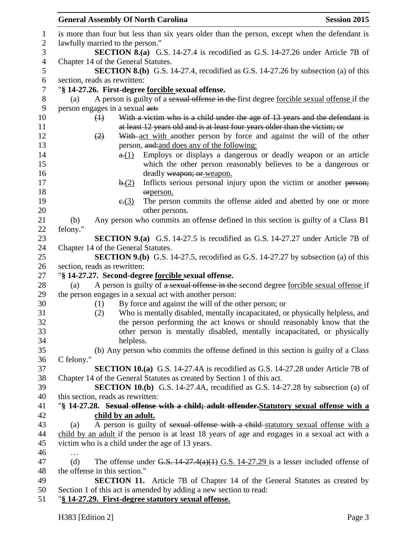|                 | <b>General Assembly Of North Carolina</b> |                                                                                                | <b>Session 2015</b> |
|-----------------|-------------------------------------------|------------------------------------------------------------------------------------------------|---------------------|
|                 |                                           | is more than four but less than six years older than the person, except when the defendant is  |                     |
|                 | lawfully married to the person."          |                                                                                                |                     |
|                 |                                           | <b>SECTION 8.(a)</b> G.S. 14-27.4 is recodified as G.S. 14-27.26 under Article 7B of           |                     |
|                 | Chapter 14 of the General Statutes.       |                                                                                                |                     |
|                 |                                           | <b>SECTION 8.(b)</b> G.S. 14-27.4, recodified as G.S. 14-27.26 by subsection (a) of this       |                     |
|                 | section, reads as rewritten:              |                                                                                                |                     |
|                 |                                           | "§ 14-27.26. First-degree <u>forcible</u> sexual offense.                                      |                     |
| (a)             |                                           | A person is guilty of a sexual offense in the first degree forcible sexual offense if the      |                     |
|                 | person engages in a sexual act:           |                                                                                                |                     |
|                 | $\left(\frac{1}{2}\right)$                | With a victim who is a child under the age of 13 years and the defendant is                    |                     |
|                 |                                           | at least 12 years old and is at least four years older than the victim; or                     |                     |
|                 | (2)                                       | With act with another person by force and against the will of the other                        |                     |
|                 |                                           | person, and: and does any of the following:                                                    |                     |
|                 | a(1)                                      | Employs or displays a dangerous or deadly weapon or an article                                 |                     |
|                 |                                           | which the other person reasonably believes to be a dangerous or                                |                     |
|                 |                                           | deadly weapon; or weapon.                                                                      |                     |
|                 | b(2)                                      | Inflicts serious personal injury upon the victim or another person;                            |                     |
|                 |                                           | orperson.                                                                                      |                     |
|                 | e(3)                                      | The person commits the offense aided and abetted by one or more                                |                     |
|                 |                                           | other persons.                                                                                 |                     |
| (b)<br>felony." |                                           | Any person who commits an offense defined in this section is guilty of a Class B1              |                     |
|                 |                                           | <b>SECTION 9.(a)</b> G.S. 14-27.5 is recodified as G.S. 14-27.27 under Article 7B of           |                     |
|                 | Chapter 14 of the General Statutes.       |                                                                                                |                     |
|                 |                                           | <b>SECTION 9.(b)</b> G.S. 14-27.5, recodified as G.S. 14-27.27 by subsection (a) of this       |                     |
|                 | section, reads as rewritten:              |                                                                                                |                     |
|                 |                                           | "§ 14-27.27. Second-degree forcible sexual offense.                                            |                     |
| (a)             |                                           | A person is guilty of a sexual offense in the second degree forcible sexual offense if         |                     |
|                 |                                           | the person engages in a sexual act with another person:                                        |                     |
|                 | (1)                                       | By force and against the will of the other person; or                                          |                     |
|                 | (2)                                       | Who is mentally disabled, mentally incapacitated, or physically helpless, and                  |                     |
|                 |                                           | the person performing the act knows or should reasonably know that the                         |                     |
|                 |                                           | other person is mentally disabled, mentally incapacitated, or physically                       |                     |
|                 | helpless.                                 |                                                                                                |                     |
|                 |                                           | (b) Any person who commits the offense defined in this section is guilty of a Class            |                     |
| C felony."      |                                           |                                                                                                |                     |
|                 |                                           | <b>SECTION 10.(a)</b> G.S. 14-27.4A is recodified as G.S. 14-27.28 under Article 7B of         |                     |
|                 |                                           | Chapter 14 of the General Statutes as created by Section 1 of this act.                        |                     |
|                 |                                           | <b>SECTION 10.(b)</b> G.S. 14-27.4A, recodified as G.S. 14-27.28 by subsection (a) of          |                     |
|                 | this section, reads as rewritten:         |                                                                                                |                     |
|                 |                                           | "§ 14-27.28. Sexual offense with a child; adult offender. Statutory sexual offense with a      |                     |
|                 | child by an adult.                        |                                                                                                |                     |
| (a)             |                                           | A person is guilty of sexual offense with a child-statutory sexual offense with a              |                     |
|                 |                                           | child by an adult if the person is at least 18 years of age and engages in a sexual act with a |                     |
|                 |                                           | victim who is a child under the age of 13 years.                                               |                     |
| $\cdots$        |                                           |                                                                                                |                     |
| (d)             |                                           | The offense under G.S. $14-27.4(a)(1)$ G.S. $14-27.29$ is a lesser included offense of         |                     |
|                 | the offense in this section."             |                                                                                                |                     |
|                 |                                           | <b>SECTION 11.</b> Article 7B of Chapter 14 of the General Statutes as created by              |                     |
|                 |                                           | Section 1 of this act is amended by adding a new section to read:                              |                     |
|                 |                                           | "§ 14-27.29. First-degree statutory sexual offense.                                            |                     |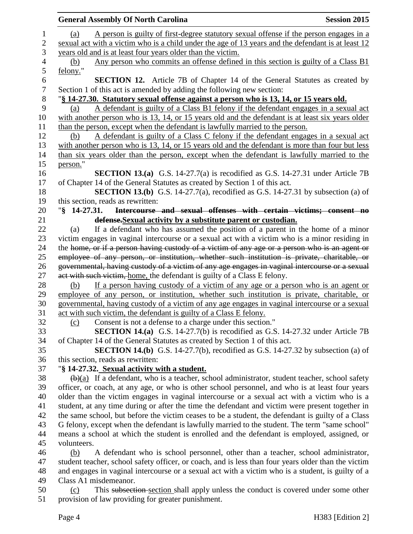|                  | <b>General Assembly Of North Carolina</b>                                                                         | <b>Session 2015</b> |
|------------------|-------------------------------------------------------------------------------------------------------------------|---------------------|
| $\mathbf{1}$     | A person is guilty of first-degree statutory sexual offense if the person engages in a<br>(a)                     |                     |
| $\overline{2}$   | sexual act with a victim who is a child under the age of 13 years and the defendant is at least 12                |                     |
| 3                | years old and is at least four years older than the victim.                                                       |                     |
| 4                | Any person who commits an offense defined in this section is guilty of a Class B1<br>(b)                          |                     |
| 5                | felony."                                                                                                          |                     |
| 6                | <b>SECTION 12.</b> Article 7B of Chapter 14 of the General Statutes as created by                                 |                     |
| $\boldsymbol{7}$ | Section 1 of this act is amended by adding the following new section:                                             |                     |
| 8                | "§ 14-27.30. Statutory sexual offense against a person who is 13, 14, or 15 years old.                            |                     |
| 9                | A defendant is guilty of a Class B1 felony if the defendant engages in a sexual act<br>(a)                        |                     |
| 10               | with another person who is 13, 14, or 15 years old and the defendant is at least six years older                  |                     |
| 11               | than the person, except when the defendant is lawfully married to the person.                                     |                     |
| 12               | A defendant is guilty of a Class C felony if the defendant engages in a sexual act<br>(b)                         |                     |
| 13               | with another person who is 13, 14, or 15 years old and the defendant is more than four but less                   |                     |
| 14               | than six years older than the person, except when the defendant is lawfully married to the                        |                     |
| 15               | person."                                                                                                          |                     |
| 16               | <b>SECTION 13.(a)</b> G.S. 14-27.7(a) is recodified as G.S. 14-27.31 under Article 7B                             |                     |
| 17               | of Chapter 14 of the General Statutes as created by Section 1 of this act.                                        |                     |
| 18               | SECTION 13.(b) G.S. 14-27.7(a), recodified as G.S. 14-27.31 by subsection (a) of                                  |                     |
| 19               | this section, reads as rewritten:                                                                                 |                     |
| 20               | Intercourse and sexual offenses with certain victims; consent no<br>$\sqrt{8}$ 14-27.31.                          |                     |
| 21               | defense. Sexual activity by a substitute parent or custodian.                                                     |                     |
| 22               | If a defendant who has assumed the position of a parent in the home of a minor<br>(a)                             |                     |
| 23               | victim engages in vaginal intercourse or a sexual act with a victim who is a minor residing in                    |                     |
| 24               | the home, or if a person having custody of a victim of any age or a person who is an agent or                     |                     |
| 25               | employee of any person, or institution, whether such institution is private, charitable, or                       |                     |
| 26               | governmental, having custody of a victim of any age engages in vaginal intercourse or a sexual                    |                     |
| 27               | act with such victim, home, the defendant is guilty of a Class E felony.                                          |                     |
| 28               | If a person having custody of a victim of any age or a person who is an agent or<br>(b)                           |                     |
| 29               | employee of any person, or institution, whether such institution is private, charitable, or                       |                     |
| 30               | governmental, having custody of a victim of any age engages in vaginal intercourse or a sexual                    |                     |
| 31               | act with such victim, the defendant is guilty of a Class E felony.                                                |                     |
| 32               | Consent is not a defense to a charge under this section."<br>(c)                                                  |                     |
| 33               | <b>SECTION 14.(a)</b> G.S. 14-27.7(b) is recodified as G.S. 14-27.32 under Article 7B                             |                     |
| 34               | of Chapter 14 of the General Statutes as created by Section 1 of this act.                                        |                     |
| 35               | <b>SECTION 14.(b)</b> G.S. 14-27.7(b), recodified as G.S. 14-27.32 by subsection (a) of                           |                     |
| 36               | this section, reads as rewritten:                                                                                 |                     |
| 37               | "§ 14-27.32. Sexual activity with a student.                                                                      |                     |
| 38               | $\left(\frac{b}{a}\right)$ If a defendant, who is a teacher, school administrator, student teacher, school safety |                     |
| 39               | officer, or coach, at any age, or who is other school personnel, and who is at least four years                   |                     |
| 40               | older than the victim engages in vaginal intercourse or a sexual act with a victim who is a                       |                     |
| 41               | student, at any time during or after the time the defendant and victim were present together in                   |                     |
| 42               | the same school, but before the victim ceases to be a student, the defendant is guilty of a Class                 |                     |
| 43               | G felony, except when the defendant is lawfully married to the student. The term "same school"                    |                     |
| 44               | means a school at which the student is enrolled and the defendant is employed, assigned, or                       |                     |
| 45               | volunteers.                                                                                                       |                     |
| 46               | A defendant who is school personnel, other than a teacher, school administrator,<br>(b)                           |                     |
| 47               | student teacher, school safety officer, or coach, and is less than four years older than the victim               |                     |
| 48               | and engages in vaginal intercourse or a sexual act with a victim who is a student, is guilty of a                 |                     |
| 49               | Class A1 misdemeanor.                                                                                             |                     |
| 50               | This subsection section shall apply unless the conduct is covered under some other<br>(c)                         |                     |
| 51               | provision of law providing for greater punishment.                                                                |                     |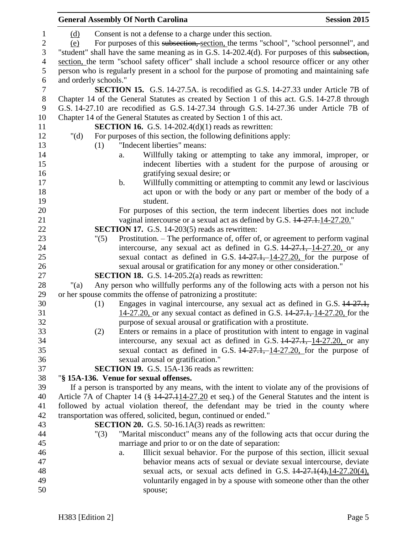|                  | <b>General Assembly Of North Carolina</b>                                                                                       | <b>Session 2015</b> |
|------------------|---------------------------------------------------------------------------------------------------------------------------------|---------------------|
| 1                | Consent is not a defense to a charge under this section.<br>(d)                                                                 |                     |
| $\boldsymbol{2}$ | For purposes of this subsection, section, the terms "school", "school personnel", and<br>(e)                                    |                     |
| 3                | "student" shall have the same meaning as in G.S. 14-202.4(d). For purposes of this subsection,                                  |                     |
| $\overline{4}$   | section, the term "school safety officer" shall include a school resource officer or any other                                  |                     |
| 5                | person who is regularly present in a school for the purpose of promoting and maintaining safe                                   |                     |
| 6                | and orderly schools."                                                                                                           |                     |
| $\tau$           | <b>SECTION 15.</b> G.S. 14-27.5A. is recodified as G.S. 14-27.33 under Article 7B of                                            |                     |
| $\,8\,$          | Chapter 14 of the General Statutes as created by Section 1 of this act. G.S. 14-27.8 through                                    |                     |
| 9                | G.S. 14-27.10 are recodified as G.S. 14-27.34 through G.S. 14-27.36 under Article 7B of                                         |                     |
| 10               | Chapter 14 of the General Statutes as created by Section 1 of this act.                                                         |                     |
| 11               | <b>SECTION 16.</b> G.S. 14-202.4(d)(1) reads as rewritten:                                                                      |                     |
| 12               | " $(d)$<br>For purposes of this section, the following definitions apply:                                                       |                     |
| 13               | "Indecent liberties" means:<br>(1)                                                                                              |                     |
| 14               | Willfully taking or attempting to take any immoral, improper, or<br>a.                                                          |                     |
| 15               | indecent liberties with a student for the purpose of arousing or                                                                |                     |
| 16               | gratifying sexual desire; or                                                                                                    |                     |
| 17               | Willfully committing or attempting to commit any lewd or lascivious<br>$\mathbf b$ .                                            |                     |
| 18               | act upon or with the body or any part or member of the body of a                                                                |                     |
| 19               | student.                                                                                                                        |                     |
| 20               | For purposes of this section, the term indecent liberties does not include                                                      |                     |
| 21               | vaginal intercourse or a sexual act as defined by G.S. $14-27.1.14-27.20$ .                                                     |                     |
| 22               | <b>SECTION 17.</b> G.S. 14-203(5) reads as rewritten:                                                                           |                     |
| 23               | Prostitution. – The performance of, offer of, or agreement to perform vaginal<br>"(5)                                           |                     |
| 24               | intercourse, any sexual act as defined in G.S. $14-27.1$ , $14-27.20$ , or any                                                  |                     |
| 25               | sexual contact as defined in G.S. $14-27.1$ , $14-27.20$ , for the purpose of                                                   |                     |
| 26               | sexual arousal or gratification for any money or other consideration."                                                          |                     |
| 27               | <b>SECTION 18.</b> G.S. 14-205.2(a) reads as rewritten:                                                                         |                     |
| 28               | Any person who willfully performs any of the following acts with a person not his<br>" $(a)$                                    |                     |
| 29               | or her spouse commits the offense of patronizing a prostitute:                                                                  |                     |
| 30               | Engages in vaginal intercourse, any sexual act as defined in G.S. 14-27.1,<br>(1)                                               |                     |
| 31               | 14-27.20, or any sexual contact as defined in G.S. 14-27.1, 14-27.20, for the                                                   |                     |
| 32               | purpose of sexual arousal or gratification with a prostitute.                                                                   |                     |
| 33               | Enters or remains in a place of prostitution with intent to engage in vaginal<br>(2)                                            |                     |
| 34               | intercourse, any sexual act as defined in G.S. $14-27.1$ , 14-27.20, or any                                                     |                     |
| 35               | sexual contact as defined in G.S. $14-27.1, -14-27.20$ , for the purpose of                                                     |                     |
| 36               | sexual arousal or gratification."                                                                                               |                     |
| 37               | <b>SECTION 19.</b> G.S. 15A-136 reads as rewritten:                                                                             |                     |
| 38               | "§ 15A-136. Venue for sexual offenses.                                                                                          |                     |
| 39               | If a person is transported by any means, with the intent to violate any of the provisions of                                    |                     |
| 40               | Article 7A of Chapter 14 ( $\frac{14.27.114-27.20}{14.27.114-27.20}$ et seq.) of the General Statutes and the intent is         |                     |
| 41               | followed by actual violation thereof, the defendant may be tried in the county where                                            |                     |
| 42<br>43         | transportation was offered, solicited, begun, continued or ended."<br><b>SECTION 20.</b> G.S. $50-16.1A(3)$ reads as rewritten: |                     |
| 44               | "Marital misconduct" means any of the following acts that occur during the<br>"(3)                                              |                     |
| 45               | marriage and prior to or on the date of separation:                                                                             |                     |
| 46               | Illicit sexual behavior. For the purpose of this section, illicit sexual<br>a.                                                  |                     |
| 47               | behavior means acts of sexual or deviate sexual intercourse, deviate                                                            |                     |
| 48               | sexual acts, or sexual acts defined in G.S. $14-27.1(4)$ , $14-27.20(4)$ ,                                                      |                     |
| 49               | voluntarily engaged in by a spouse with someone other than the other                                                            |                     |
| 50               | spouse;                                                                                                                         |                     |
|                  |                                                                                                                                 |                     |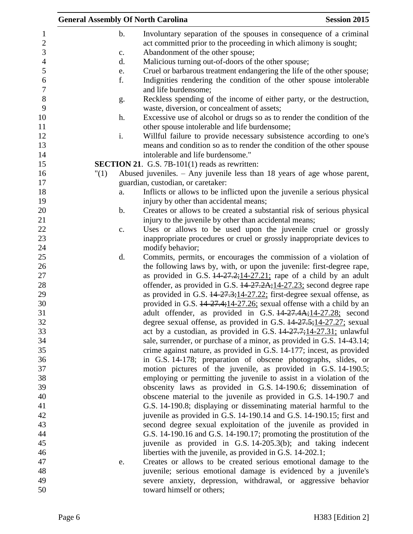|                | <b>General Assembly Of North Carolina</b>                                                                               | <b>Session 2015</b> |
|----------------|-------------------------------------------------------------------------------------------------------------------------|---------------------|
| $\mathbf b$ .  | Involuntary separation of the spouses in consequence of a criminal                                                      |                     |
|                | act committed prior to the proceeding in which alimony is sought;                                                       |                     |
| $\mathbf{c}$ . | Abandonment of the other spouse;                                                                                        |                     |
| d.             | Malicious turning out-of-doors of the other spouse;                                                                     |                     |
| e.             | Cruel or barbarous treatment endangering the life of the other spouse;                                                  |                     |
| f.             | Indignities rendering the condition of the other spouse intolerable                                                     |                     |
|                | and life burdensome;                                                                                                    |                     |
| g.             | Reckless spending of the income of either party, or the destruction,<br>waste, diversion, or concealment of assets;     |                     |
| h.             | Excessive use of alcohol or drugs so as to render the condition of the<br>other spouse intolerable and life burdensome; |                     |
| i.             | Willful failure to provide necessary subsistence according to one's                                                     |                     |
|                |                                                                                                                         |                     |
|                | means and condition so as to render the condition of the other spouse<br>intolerable and life burdensome."              |                     |
|                |                                                                                                                         |                     |
|                | <b>SECTION 21.</b> G.S. 7B-101(1) reads as rewritten:                                                                   |                     |
| "(1)           | Abused juveniles. $-$ Any juvenile less than 18 years of age whose parent,                                              |                     |
|                | guardian, custodian, or caretaker:                                                                                      |                     |
| a.             | Inflicts or allows to be inflicted upon the juvenile a serious physical                                                 |                     |
|                | injury by other than accidental means;                                                                                  |                     |
| $\mathbf b$ .  | Creates or allows to be created a substantial risk of serious physical                                                  |                     |
|                | injury to the juvenile by other than accidental means;                                                                  |                     |
| $\mathbf{c}$ . | Uses or allows to be used upon the juvenile cruel or grossly                                                            |                     |
|                | inappropriate procedures or cruel or grossly inappropriate devices to                                                   |                     |
|                | modify behavior;                                                                                                        |                     |
| d.             | Commits, permits, or encourages the commission of a violation of                                                        |                     |
|                | the following laws by, with, or upon the juvenile: first-degree rape,                                                   |                     |
|                | as provided in G.S. $14-27.2$ ; $14-27.21$ ; rape of a child by an adult                                                |                     |
|                | offender, as provided in G.S. 14-27.2A; 14-27.23; second degree rape                                                    |                     |
|                | as provided in G.S. $14-27.3$ ; $14-27.22$ ; first-degree sexual offense, as                                            |                     |
|                | provided in G.S. 14-27.4;14-27.26; sexual offense with a child by an                                                    |                     |
|                | adult offender, as provided in G.S. 44-27.4A;14-27.28; second                                                           |                     |
|                | degree sexual offense, as provided in G.S. $14-27.5$ ; $14-27.27$ ; sexual                                              |                     |
|                | act by a custodian, as provided in G.S. $14-27.7$ ; $14-27.31$ ; unlawful                                               |                     |
|                | sale, surrender, or purchase of a minor, as provided in G.S. 14-43.14;                                                  |                     |
|                | crime against nature, as provided in G.S. 14-177; incest, as provided                                                   |                     |
|                | in G.S. 14-178; preparation of obscene photographs, slides, or                                                          |                     |
|                | motion pictures of the juvenile, as provided in G.S. 14-190.5;                                                          |                     |
|                | employing or permitting the juvenile to assist in a violation of the                                                    |                     |
|                | obscenity laws as provided in G.S. 14-190.6; dissemination of                                                           |                     |
|                | obscene material to the juvenile as provided in G.S. 14-190.7 and                                                       |                     |
|                | G.S. 14-190.8; displaying or disseminating material harmful to the                                                      |                     |
|                | juvenile as provided in G.S. 14-190.14 and G.S. 14-190.15; first and                                                    |                     |
|                | second degree sexual exploitation of the juvenile as provided in                                                        |                     |
|                | G.S. 14-190.16 and G.S. 14-190.17; promoting the prostitution of the                                                    |                     |
|                | juvenile as provided in G.S. 14-205.3(b); and taking indecent                                                           |                     |
|                | liberties with the juvenile, as provided in G.S. 14-202.1;                                                              |                     |
| e.             | Creates or allows to be created serious emotional damage to the                                                         |                     |
|                | juvenile; serious emotional damage is evidenced by a juvenile's                                                         |                     |
|                | severe anxiety, depression, withdrawal, or aggressive behavior                                                          |                     |
|                | toward himself or others;                                                                                               |                     |
|                |                                                                                                                         |                     |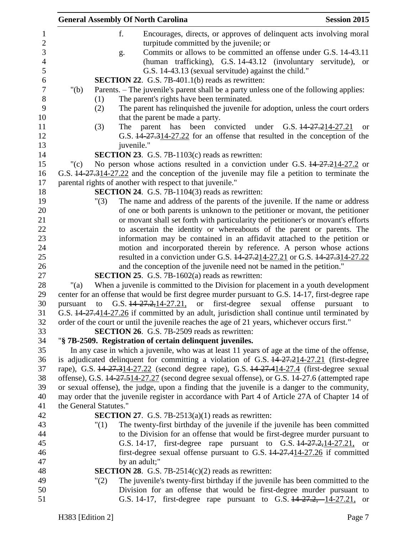|          | <b>General Assembly Of North Carolina</b>                                                         | <b>Session 2015</b> |
|----------|---------------------------------------------------------------------------------------------------|---------------------|
|          | f.<br>Encourages, directs, or approves of delinquent acts involving moral                         |                     |
|          | turpitude committed by the juvenile; or                                                           |                     |
|          | Commits or allows to be committed an offense under G.S. 14-43.11<br>g.                            |                     |
|          | (human trafficking), G.S. 14-43.12 (involuntary servitude), or                                    |                     |
|          | G.S. 14-43.13 (sexual servitude) against the child."                                              |                     |
|          | <b>SECTION 22.</b> G.S. 7B-401.1(b) reads as rewritten:                                           |                     |
| " $(b)$  | Parents. – The juvenile's parent shall be a party unless one of the following applies:            |                     |
|          | The parent's rights have been terminated.<br>(1)                                                  |                     |
|          | The parent has relinquished the juvenile for adoption, unless the court orders<br>(2)             |                     |
|          | that the parent be made a party.                                                                  |                     |
|          | The parent has been convicted<br>(3)<br>under G.S. 14-27.214-27.21                                | <sub>or</sub>       |
|          | G.S. 14-27.314-27.22 for an offense that resulted in the conception of the                        |                     |
|          | juvenile."                                                                                        |                     |
|          | <b>SECTION 23.</b> G.S. 7B-1103(c) reads as rewritten:                                            |                     |
| $"({c})$ | No person whose actions resulted in a conviction under G.S. 44-27.214-27.2 or                     |                     |
|          | G.S. 14 27.314-27.22 and the conception of the juvenile may file a petition to terminate the      |                     |
|          | parental rights of another with respect to that juvenile."                                        |                     |
|          | <b>SECTION 24.</b> G.S. 7B-1104(3) reads as rewritten:                                            |                     |
|          | The name and address of the parents of the juvenile. If the name or address<br>"(3)               |                     |
|          | of one or both parents is unknown to the petitioner or movant, the petitioner                     |                     |
|          | or movant shall set forth with particularity the petitioner's or movant's efforts                 |                     |
|          | to ascertain the identity or whereabouts of the parent or parents. The                            |                     |
|          | information may be contained in an affidavit attached to the petition or                          |                     |
|          | motion and incorporated therein by reference. A person whose actions                              |                     |
|          | resulted in a conviction under G.S. 44-27.214-27.21 or G.S. 44-27.314-27.22                       |                     |
|          | and the conception of the juvenile need not be named in the petition."                            |                     |
|          | SECTION 25. G.S. 7B-1602(a) reads as rewritten:                                                   |                     |
| "(a)     | When a juvenile is committed to the Division for placement in a youth development                 |                     |
|          | center for an offense that would be first degree murder pursuant to G.S. 14-17, first-degree rape |                     |
| pursuant | G.S. 44-27.2, 14-27.21, or first-degree<br>sexual offense<br>to                                   | pursuant<br>to      |
|          | G.S. 14-27.414-27.26 if committed by an adult, jurisdiction shall continue until terminated by    |                     |
|          | order of the court or until the juvenile reaches the age of 21 years, whichever occurs first."    |                     |
|          | <b>SECTION 26.</b> G.S. 7B-2509 reads as rewritten:                                               |                     |
|          | "§ 7B-2509. Registration of certain delinquent juveniles.                                         |                     |
|          | In any case in which a juvenile, who was at least 11 years of age at the time of the offense,     |                     |
|          | is adjudicated delinquent for committing a violation of G.S. 14-27.214-27.21 (first-degree        |                     |
|          | rape), G.S. 44-27.314-27.22 (second degree rape), G.S. 44-27.414-27.4 (first-degree sexual        |                     |
|          | offense), G.S. 14-27.514-27.27 (second degree sexual offense), or G.S. 14-27.6 (attempted rape    |                     |
|          | or sexual offense), the judge, upon a finding that the juvenile is a danger to the community,     |                     |
|          | may order that the juvenile register in accordance with Part 4 of Article 27A of Chapter 14 of    |                     |
|          | the General Statutes."                                                                            |                     |
|          | <b>SECTION 27.</b> G.S. 7B-2513(a)(1) reads as rewritten:                                         |                     |
|          | The twenty-first birthday of the juvenile if the juvenile has been committed<br>"(1)              |                     |
|          | to the Division for an offense that would be first-degree murder pursuant to                      |                     |
|          | G.S. 14-17, first-degree rape pursuant to G.S. 14-27.2, 14-27.21, or                              |                     |
|          | first-degree sexual offense pursuant to G.S. 14-27.414-27.26 if committed                         |                     |
|          | by an adult;"                                                                                     |                     |
|          | <b>SECTION 28.</b> G.S. 7B-2514(c)(2) reads as rewritten:                                         |                     |
|          | The juvenile's twenty-first birthday if the juvenile has been committed to the<br>"(2)            |                     |
|          | Division for an offense that would be first-degree murder pursuant to                             |                     |
|          | G.S. 14-17, first-degree rape pursuant to G.S. 14-27.2, 14-27.21, or                              |                     |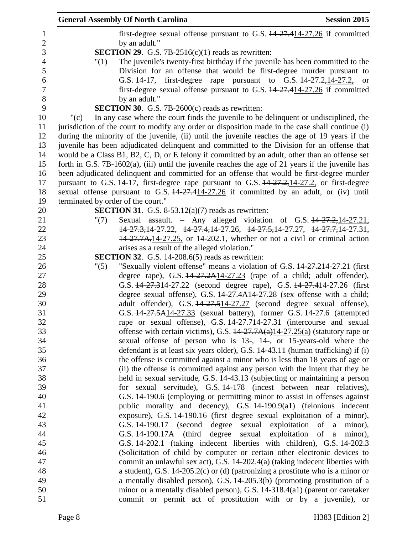|                       | <b>Session 2015</b><br><b>General Assembly Of North Carolina</b>                                                                                                 |
|-----------------------|------------------------------------------------------------------------------------------------------------------------------------------------------------------|
| $\mathbf{1}$          | first-degree sexual offense pursuant to G.S. 14-27.414-27.26 if committed                                                                                        |
| $\overline{2}$        | by an adult."                                                                                                                                                    |
| 3                     | <b>SECTION 29.</b> G.S. 7B-2516(c)(1) reads as rewritten:                                                                                                        |
| $\overline{4}$        | The juvenile's twenty-first birthday if the juvenile has been committed to the<br>"(1)                                                                           |
| 5                     | Division for an offense that would be first-degree murder pursuant to                                                                                            |
| 6<br>$\boldsymbol{7}$ | G.S. 14-17, first-degree rape pursuant to G.S. 14-27.2, 14-27.2, or                                                                                              |
| 8                     | first-degree sexual offense pursuant to G.S. 14-27.414-27.26 if committed<br>by an adult."                                                                       |
| 9                     | SECTION 30. G.S. 7B-2600(c) reads as rewritten:                                                                                                                  |
| 10                    | In any case where the court finds the juvenile to be delinquent or undisciplined, the<br>" $(c)$                                                                 |
| 11                    | jurisdiction of the court to modify any order or disposition made in the case shall continue (i)                                                                 |
| 12                    | during the minority of the juvenile, (ii) until the juvenile reaches the age of 19 years if the                                                                  |
| 13                    | juvenile has been adjudicated delinquent and committed to the Division for an offense that                                                                       |
| 14                    | would be a Class B1, B2, C, D, or E felony if committed by an adult, other than an offense set                                                                   |
| 15                    | forth in G.S. $7B-1602(a)$ , (iii) until the juvenile reaches the age of 21 years if the juvenile has                                                            |
| 16                    | been adjudicated delinquent and committed for an offense that would be first-degree murder                                                                       |
| 17                    | pursuant to G.S. 14-17, first-degree rape pursuant to G.S. 14-27.2, 14-27.2, or first-degree                                                                     |
| 18                    | sexual offense pursuant to G.S. 14-27.414-27.26 if committed by an adult, or (iv) until                                                                          |
| 19                    | terminated by order of the court."                                                                                                                               |
| 20                    | <b>SECTION 31.</b> G.S. 8-53.12(a)(7) reads as rewritten:                                                                                                        |
| 21                    | Sexual assault. - Any alleged violation of G.S. $14-27.2, 14-27.21$ ,<br>" $(7)$                                                                                 |
| 22                    | 14-27.3, 14-27.22, 14-27.4, 14-27.26, 14-27.5, 14-27.27, 14-27.7, 14-27.31,                                                                                      |
| 23                    | $14-27.7A$ , $14-27.25$ , or 14-202.1, whether or not a civil or criminal action                                                                                 |
| 24                    | arises as a result of the alleged violation."                                                                                                                    |
| 25                    | <b>SECTION 32.</b> G.S. 14-208.6(5) reads as rewritten:                                                                                                          |
| 26                    | "Sexually violent offense" means a violation of G.S. 14-27.214-27.21 (first<br>"(5)                                                                              |
| 27                    | degree rape), G.S. $14-27.2A14-27.23$ (rape of a child; adult offender),                                                                                         |
| 28<br>29              | G.S. 44-27.314-27.22 (second degree rape), G.S. 44-27.414-27.26 (first                                                                                           |
|                       | degree sexual offense), G.S. 14-27.4A14-27.28 (sex offense with a child;                                                                                         |
| 30                    | adult offender), G.S. 44-27.514-27.27 (second degree sexual offense),                                                                                            |
|                       | G.S. 14-27.5A14-27.33 (sexual battery), former G.S. 14-27.6 (attempted                                                                                           |
|                       | rape or sexual offense), G.S. $\frac{14-27.714-27.31}{27.31}$ (intercourse and sexual                                                                            |
| 34                    | offense with certain victims), G.S. $14-27.7A(a)14-27.25(a)$ (statutory rape or                                                                                  |
|                       | sexual offense of person who is 13-, 14-, or 15-years-old where the                                                                                              |
| 35<br>36              | defendant is at least six years older), G.S. 14-43.11 (human trafficking) if (i)<br>the offense is committed against a minor who is less than 18 years of age or |
|                       | (ii) the offense is committed against any person with the intent that they be                                                                                    |
|                       | held in sexual servitude, G.S. 14-43.13 (subjecting or maintaining a person                                                                                      |
| 38<br>39              | for sexual servitude), G.S. 14-178 (incest between near relatives),                                                                                              |
|                       | G.S. 14-190.6 (employing or permitting minor to assist in offenses against                                                                                       |
|                       | public morality and decency), G.S. 14-190.9(a1) (felonious indecent                                                                                              |
|                       | exposure), G.S. 14-190.16 (first degree sexual exploitation of a minor),                                                                                         |
|                       | G.S. 14-190.17 (second degree sexual exploitation of a minor),                                                                                                   |
|                       | G.S. 14-190.17A (third degree sexual exploitation of a minor),                                                                                                   |
|                       | G.S. 14-202.1 (taking indecent liberties with children), G.S. 14-202.3                                                                                           |
| 45<br>46              | (Solicitation of child by computer or certain other electronic devices to                                                                                        |
| 47                    | commit an unlawful sex act), G.S. 14-202.4(a) (taking indecent liberties with                                                                                    |
| 48                    | a student), G.S. 14-205.2(c) or (d) (patronizing a prostitute who is a minor or                                                                                  |
| 49                    | a mentally disabled person), G.S. 14-205.3(b) (promoting prostitution of a                                                                                       |
| 50                    | minor or a mentally disabled person), G.S. 14-318.4(a1) (parent or caretaker                                                                                     |
| 51                    | commit or permit act of prostitution with or by a juvenile), or                                                                                                  |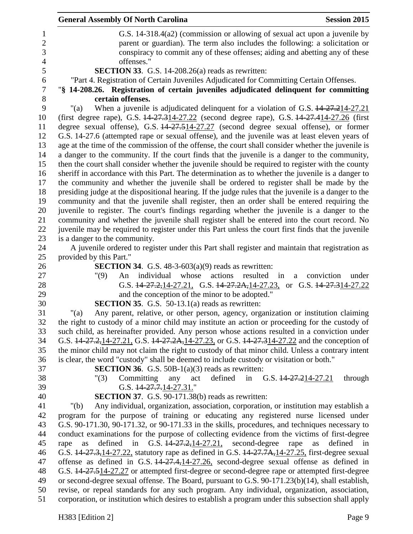|                | <b>General Assembly Of North Carolina</b><br><b>Session 2015</b>                                                                                                                                    |  |
|----------------|-----------------------------------------------------------------------------------------------------------------------------------------------------------------------------------------------------|--|
| 1              | G.S. 14-318.4(a2) (commission or allowing of sexual act upon a juvenile by                                                                                                                          |  |
| $\overline{2}$ | parent or guardian). The term also includes the following: a solicitation or                                                                                                                        |  |
| 3              | conspiracy to commit any of these offenses; aiding and abetting any of these                                                                                                                        |  |
| $\overline{4}$ | offenses."                                                                                                                                                                                          |  |
| 5              | SECTION 33. G.S. 14-208.26(a) reads as rewritten:                                                                                                                                                   |  |
| 6              | "Part 4. Registration of Certain Juveniles Adjudicated for Committing Certain Offenses.                                                                                                             |  |
| $\tau$         | "§ 14-208.26. Registration of certain juveniles adjudicated delinquent for committing                                                                                                               |  |
| 8              | certain offenses.                                                                                                                                                                                   |  |
| 9              | When a juvenile is adjudicated delinquent for a violation of G.S. 44-27.214-27.21<br>" $(a)$                                                                                                        |  |
| 10             | (first degree rape), G.S. 14-27.314-27.22 (second degree rape), G.S. 14-27.414-27.26 (first                                                                                                         |  |
| 11             | degree sexual offense), G.S. 44-27.514-27.27 (second degree sexual offense), or former                                                                                                              |  |
| 12<br>13       | G.S. 14-27.6 (attempted rape or sexual offense), and the juvenile was at least eleven years of                                                                                                      |  |
| 14             | age at the time of the commission of the offense, the court shall consider whether the juvenile is<br>a danger to the community. If the court finds that the juvenile is a danger to the community, |  |
| 15             | then the court shall consider whether the juvenile should be required to register with the county                                                                                                   |  |
| 16             | sheriff in accordance with this Part. The determination as to whether the juvenile is a danger to                                                                                                   |  |
| 17             | the community and whether the juvenile shall be ordered to register shall be made by the                                                                                                            |  |
| 18             | presiding judge at the dispositional hearing. If the judge rules that the juvenile is a danger to the                                                                                               |  |
| 19             | community and that the juvenile shall register, then an order shall be entered requiring the                                                                                                        |  |
| 20             | juvenile to register. The court's findings regarding whether the juvenile is a danger to the                                                                                                        |  |
| 21             | community and whether the juvenile shall register shall be entered into the court record. No                                                                                                        |  |
| 22             | juvenile may be required to register under this Part unless the court first finds that the juvenile                                                                                                 |  |
| 23             | is a danger to the community.                                                                                                                                                                       |  |
| 24             | A juvenile ordered to register under this Part shall register and maintain that registration as                                                                                                     |  |
| 25             | provided by this Part."                                                                                                                                                                             |  |
| 26             | <b>SECTION 34.</b> G.S. $48-3-603(a)(9)$ reads as rewritten:                                                                                                                                        |  |
| 27             | individual<br>whose<br>resulted<br>"(9)<br>actions<br>An<br>in<br>conviction<br>under<br>a                                                                                                          |  |
| 28             | G.S. $14-27.2, 14-27.21$ , G.S. $14-27.2A, 14-27.23$ , or G.S. $14-27.314-27.22$                                                                                                                    |  |
| 29             | and the conception of the minor to be adopted."                                                                                                                                                     |  |
| 30             | <b>SECTION 35.</b> G.S. 50-13.1(a) reads as rewritten:                                                                                                                                              |  |
| 31             | Any parent, relative, or other person, agency, organization or institution claiming<br>" $(a)$                                                                                                      |  |
| 32             | the right to custody of a minor child may institute an action or proceeding for the custody of                                                                                                      |  |
| 33<br>34       | such child, as hereinafter provided. Any person whose actions resulted in a conviction under<br>G.S. 14-27.2, 14-27.21, G.S. 14-27.2A, 14-27.23, or G.S. 14-27.314-27.22 and the conception of      |  |
| 35             | the minor child may not claim the right to custody of that minor child. Unless a contrary intent                                                                                                    |  |
| 36             | is clear, the word "custody" shall be deemed to include custody or visitation or both."                                                                                                             |  |
| 37             | <b>SECTION 36.</b> G.S. 50B-1(a)(3) reads as rewritten:                                                                                                                                             |  |
| 38             | Committing<br>defined<br>in G.S. $\frac{14-27.214-27.21}{21}$<br>"(3)<br>act<br>through<br>any                                                                                                      |  |
| 39             | G.S. $14-27.7.14-27.31$ ."                                                                                                                                                                          |  |
| 40             | <b>SECTION 37.</b> G.S. 90-171.38(b) reads as rewritten:                                                                                                                                            |  |
| 41             | Any individual, organization, association, corporation, or institution may establish a<br>"(b)                                                                                                      |  |
| 42             | program for the purpose of training or educating any registered nurse licensed under                                                                                                                |  |
| 43             | G.S. 90-171.30, 90-171.32, or 90-171.33 in the skills, procedures, and techniques necessary to                                                                                                      |  |
| 44             | conduct examinations for the purpose of collecting evidence from the victims of first-degree                                                                                                        |  |
| 45             | G.S. 44-27.2, 14-27.21, second-degree<br>defined<br>in<br>rape<br>defined in<br>rape<br>as<br>as                                                                                                    |  |
| 46             | G.S. 44-27.3, 14-27.22, statutory rape as defined in G.S. 44-27.7A, 14-27.25, first-degree sexual                                                                                                   |  |
| 47             | offense as defined in G.S. $14\overline{27.4, 14\cdot 27.26}$ , second-degree sexual offense as defined in                                                                                          |  |
| 48             | G.S. 14-27.514-27.27 or attempted first-degree or second-degree rape or attempted first-degree                                                                                                      |  |
| 49             | or second-degree sexual offense. The Board, pursuant to G.S. 90-171.23(b)(14), shall establish,                                                                                                     |  |
| 50             | revise, or repeal standards for any such program. Any individual, organization, association,                                                                                                        |  |
| 51             | corporation, or institution which desires to establish a program under this subsection shall apply                                                                                                  |  |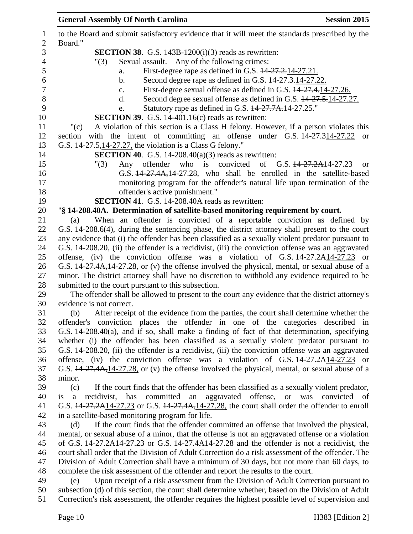|                                | <b>General Assembly Of North Carolina</b><br><b>Session 2015</b>                                                                                                                                       |
|--------------------------------|--------------------------------------------------------------------------------------------------------------------------------------------------------------------------------------------------------|
| $\mathbf{1}$<br>$\overline{2}$ | to the Board and submit satisfactory evidence that it will meet the standards prescribed by the<br>Board."                                                                                             |
| 3                              | <b>SECTION 38.</b> G.S. 143B-1200 $(i)(3)$ reads as rewritten:                                                                                                                                         |
| $\overline{4}$                 | Sexual assault. - Any of the following crimes:<br>"(3)                                                                                                                                                 |
| 5                              | First-degree rape as defined in G.S. 44-27.2.14-27.21.<br>a.                                                                                                                                           |
| 6                              | Second degree rape as defined in G.S. $14-27.3-14-27.22$ .<br>b.                                                                                                                                       |
| $\boldsymbol{7}$               | First-degree sexual offense as defined in G.S. $14-27.4$ , 14-27.26.<br>$\mathbf{c}$ .                                                                                                                 |
| 8                              | Second degree sexual offense as defined in G.S. $14-27.5$ , 14-27.27.<br>d.                                                                                                                            |
| 9                              | Statutory rape as defined in G.S. 14-27.7A.14-27.25."<br>e.                                                                                                                                            |
| 10                             | <b>SECTION 39.</b> G.S. 14-401.16 $(c)$ reads as rewritten:                                                                                                                                            |
| 11                             | A violation of this section is a Class H felony. However, if a person violates this<br>"(c)                                                                                                            |
| 12                             | section with the intent of committing an offense under G.S. 14-27.314-27.22<br><sub>or</sub>                                                                                                           |
| 13                             | G.S. 14-27.5, 14-27.27, the violation is a Class G felony."                                                                                                                                            |
| 14                             | <b>SECTION 40.</b> G.S. 14-208.40(a)(3) reads as rewritten:                                                                                                                                            |
| 15                             | Any offender who is convicted<br>of G.S. $14-27.2A14-27.23$<br>"(3)<br><b>or</b>                                                                                                                       |
| 16                             | G.S. 44-27.4A, 14-27.28, who shall be enrolled in the satellite-based                                                                                                                                  |
| 17                             | monitoring program for the offender's natural life upon termination of the                                                                                                                             |
| 18                             | offender's active punishment."                                                                                                                                                                         |
| 19                             | <b>SECTION 41.</b> G.S. 14-208.40A reads as rewritten:                                                                                                                                                 |
| 20                             | "§ 14-208.40A. Determination of satellite-based monitoring requirement by court.                                                                                                                       |
| 21                             | When an offender is convicted of a reportable conviction as defined by<br>(a)                                                                                                                          |
| 22                             | G.S. 14-208.6(4), during the sentencing phase, the district attorney shall present to the court                                                                                                        |
| 23                             | any evidence that (i) the offender has been classified as a sexually violent predator pursuant to                                                                                                      |
| 24                             | G.S. 14-208.20, (ii) the offender is a recidivist, (iii) the conviction offense was an aggravated                                                                                                      |
| 25                             | offense, (iv) the conviction offense was a violation of G.S. $14-27.2A14-27.23$ or                                                                                                                     |
| 26                             | G.S. 44-27.4A, 14-27.28, or (v) the offense involved the physical, mental, or sexual abuse of a                                                                                                        |
| 27                             | minor. The district attorney shall have no discretion to withhold any evidence required to be                                                                                                          |
| 28                             | submitted to the court pursuant to this subsection.                                                                                                                                                    |
| 29                             | The offender shall be allowed to present to the court any evidence that the district attorney's                                                                                                        |
| 30                             | evidence is not correct.                                                                                                                                                                               |
| 31                             | After receipt of the evidence from the parties, the court shall determine whether the<br>(b)                                                                                                           |
| 32                             | offender's conviction places the offender in one of the categories described in                                                                                                                        |
| 33                             | G.S. 14-208.40(a), and if so, shall make a finding of fact of that determination, specifying                                                                                                           |
| 34                             | whether (i) the offender has been classified as a sexually violent predator pursuant to                                                                                                                |
| 35                             | G.S. 14-208.20, (ii) the offender is a recidivist, (iii) the conviction offense was an aggravated                                                                                                      |
| 36                             | offense, (iv) the conviction offense was a violation of G.S. $14-27.2A14-27.23$ or                                                                                                                     |
| 37                             | G.S. 14-27.4A, 14-27.28, or (v) the offense involved the physical, mental, or sexual abuse of a                                                                                                        |
| 38                             | minor.                                                                                                                                                                                                 |
| 39                             | If the court finds that the offender has been classified as a sexually violent predator,<br>(c)                                                                                                        |
| 40                             | recidivist, has committed an aggravated offense, or was<br>convicted of<br>$\mathbf{a}$<br>is                                                                                                          |
| 41                             | G.S. 14-27.2A14-27.23 or G.S. 14-27.4A, 14-27.28, the court shall order the offender to enroll                                                                                                         |
| 42                             | in a satellite-based monitoring program for life.                                                                                                                                                      |
| 43                             | If the court finds that the offender committed an offense that involved the physical,<br>(d)                                                                                                           |
| 44                             | mental, or sexual abuse of a minor, that the offense is not an aggravated offense or a violation                                                                                                       |
| 45                             | of G.S. $14-27.2A14-27.23$ or G.S. $14-27.4A14-27.28$ and the offender is not a recidivist, the                                                                                                        |
| 46                             | court shall order that the Division of Adult Correction do a risk assessment of the offender. The                                                                                                      |
| 47                             | Division of Adult Correction shall have a minimum of 30 days, but not more than 60 days, to                                                                                                            |
| 48                             | complete the risk assessment of the offender and report the results to the court.                                                                                                                      |
| 49                             | Upon receipt of a risk assessment from the Division of Adult Correction pursuant to<br>(e)                                                                                                             |
| 50<br>51                       | subsection (d) of this section, the court shall determine whether, based on the Division of Adult<br>Correction's risk assessment, the offender requires the highest possible level of supervision and |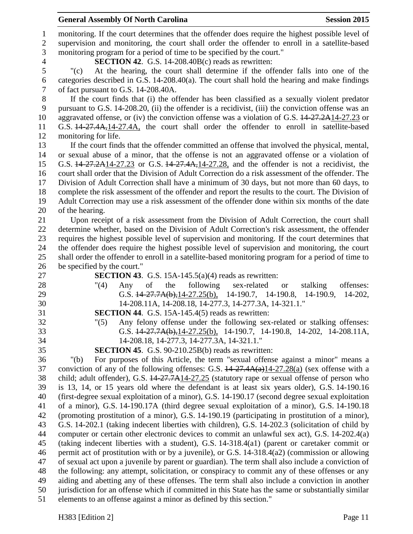## **General Assembly Of North Carolina Session 2015**

 monitoring. If the court determines that the offender does require the highest possible level of supervision and monitoring, the court shall order the offender to enroll in a satellite-based monitoring program for a period of time to be specified by the court." **SECTION 42**. G.S. 14-208.40B(c) reads as rewritten: "(c) At the hearing, the court shall determine if the offender falls into one of the categories described in G.S. 14-208.40(a). The court shall hold the hearing and make findings of fact pursuant to G.S. 14-208.40A. If the court finds that (i) the offender has been classified as a sexually violent predator pursuant to G.S. 14-208.20, (ii) the offender is a recidivist, (iii) the conviction offense was an 10 aggravated offense, or (iv) the conviction offense was a violation of G.S.  $14-27.2A14-27.23$  or G.S. 14-27.4A,14-27.4A, the court shall order the offender to enroll in satellite-based monitoring for life. If the court finds that the offender committed an offense that involved the physical, mental, or sexual abuse of a minor, that the offense is not an aggravated offense or a violation of G.S. 14-27.2A14-27.23 or G.S. 14-27.4A,14-27.28, and the offender is not a recidivist, the court shall order that the Division of Adult Correction do a risk assessment of the offender. The Division of Adult Correction shall have a minimum of 30 days, but not more than 60 days, to complete the risk assessment of the offender and report the results to the court. The Division of Adult Correction may use a risk assessment of the offender done within six months of the date of the hearing. Upon receipt of a risk assessment from the Division of Adult Correction, the court shall determine whether, based on the Division of Adult Correction's risk assessment, the offender requires the highest possible level of supervision and monitoring. If the court determines that the offender does require the highest possible level of supervision and monitoring, the court shall order the offender to enroll in a satellite-based monitoring program for a period of time to be specified by the court." **SECTION 43**. G.S. 15A-145.5(a)(4) reads as rewritten: 28 "(4) Any of the following sex-related or stalking offenses: G.S. 14-27.7A(b),14-27.25(b), 14-190.7, 14-190.8, 14-190.9, 14-202, 14-208.11A, 14-208.18, 14-277.3, 14-277.3A, 14-321.1." **SECTION 44**. G.S. 15A-145.4(5) reads as rewritten: "(5) Any felony offense under the following sex-related or stalking offenses: G.S. 14-27.7A(b),14-27.25(b), 14-190.7, 14-190.8, 14-202, 14-208.11A, 14-208.18, 14-277.3, 14-277.3A, 14-321.1." **SECTION 45**. G.S. 90-210.25B(b) reads as rewritten: "(b) For purposes of this Article, the term "sexual offense against a minor" means a conviction of any of the following offenses: G.S. 14-27.4A(a)14-27.28(a) (sex offense with a child; adult offender), G.S. 14-27.7A14-27.25 (statutory rape or sexual offense of person who is 13, 14, or 15 years old where the defendant is at least six years older), G.S. 14-190.16 (first-degree sexual exploitation of a minor), G.S. 14-190.17 (second degree sexual exploitation of a minor), G.S. 14-190.17A (third degree sexual exploitation of a minor), G.S. 14-190.18 (promoting prostitution of a minor), G.S. 14-190.19 (participating in prostitution of a minor), G.S. 14-202.1 (taking indecent liberties with children), G.S. 14-202.3 (solicitation of child by computer or certain other electronic devices to commit an unlawful sex act), G.S. 14-202.4(a) (taking indecent liberties with a student), G.S. 14-318.4(a1) (parent or caretaker commit or permit act of prostitution with or by a juvenile), or G.S. 14-318.4(a2) (commission or allowing of sexual act upon a juvenile by parent or guardian). The term shall also include a conviction of the following: any attempt, solicitation, or conspiracy to commit any of these offenses or any aiding and abetting any of these offenses. The term shall also include a conviction in another jurisdiction for an offense which if committed in this State has the same or substantially similar elements to an offense against a minor as defined by this section."